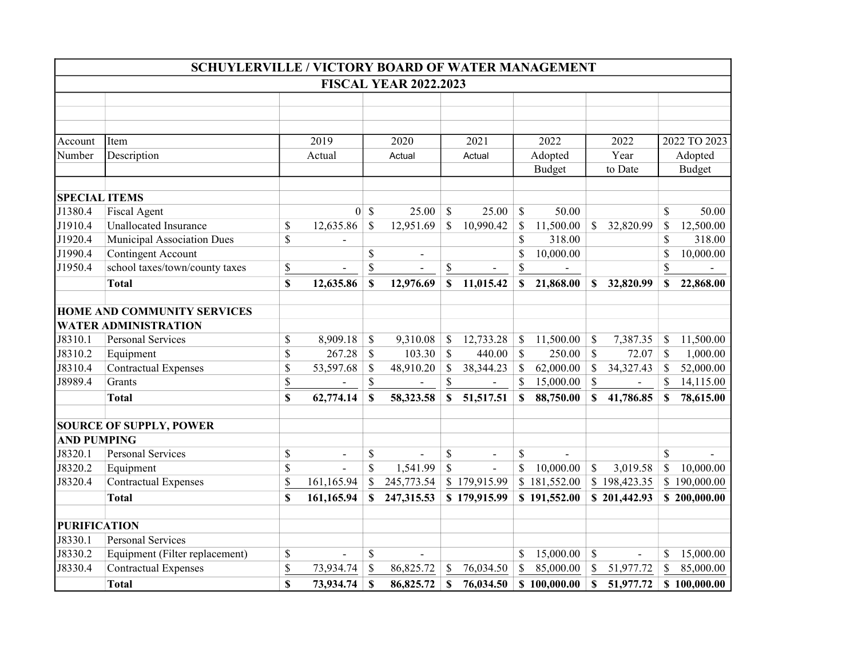|                      | SCHUYLERVILLE / VICTORY BOARD OF WATER MANAGEMENT |    |                          |              |                          |               |                              |               |               |               |                |               |               |  |
|----------------------|---------------------------------------------------|----|--------------------------|--------------|--------------------------|---------------|------------------------------|---------------|---------------|---------------|----------------|---------------|---------------|--|
|                      | <b>FISCAL YEAR 2022.2023</b>                      |    |                          |              |                          |               |                              |               |               |               |                |               |               |  |
|                      |                                                   |    |                          |              |                          |               |                              |               |               |               |                |               |               |  |
|                      |                                                   |    |                          |              |                          |               |                              |               |               |               |                |               |               |  |
|                      |                                                   |    |                          |              |                          |               |                              |               |               |               |                |               |               |  |
| Account              | Item                                              |    | 2019                     |              | 2020                     |               | 2021                         |               | 2022          |               | 2022           |               | 2022 TO 2023  |  |
| Number               | Description                                       |    | Actual                   |              | Actual                   |               | Actual                       |               | Adopted       |               | Year           |               | Adopted       |  |
|                      |                                                   |    |                          |              |                          |               |                              |               | <b>Budget</b> |               | to Date        |               | <b>Budget</b> |  |
|                      |                                                   |    |                          |              |                          |               |                              |               |               |               |                |               |               |  |
| <b>SPECIAL ITEMS</b> |                                                   |    |                          |              |                          |               |                              |               |               |               |                |               |               |  |
| J1380.4              | <b>Fiscal Agent</b>                               |    |                          | $0 \simeq$   | 25.00                    | $\mathcal{S}$ | 25.00                        | $\mathcal{S}$ | 50.00         |               |                | \$            | 50.00         |  |
| J1910.4              | <b>Unallocated Insurance</b>                      | \$ | 12,635.86                | \$           | 12,951.69                | $\mathcal{S}$ | 10,990.42                    | <sup>\$</sup> | 11,500.00     | $\mathcal{S}$ | 32,820.99      | \$            | 12,500.00     |  |
| J1920.4              | Municipal Association Dues                        | \$ |                          |              |                          |               |                              | \$            | 318.00        |               |                | \$            | 318.00        |  |
| J1990.4              | <b>Contingent Account</b>                         |    |                          | \$           | $\blacksquare$           |               |                              | \$            | 10,000.00     |               |                | \$            | 10,000.00     |  |
| J1950.4              | school taxes/town/county taxes                    | \$ | $\overline{\phantom{a}}$ | \$           | $\overline{\phantom{a}}$ | $\mathbb{S}$  | $\qquad \qquad \blacksquare$ | \$            |               |               |                | \$            |               |  |
|                      | <b>Total</b>                                      | \$ | 12,635.86                | $\mathbf S$  | 12,976.69                | $\mathbf S$   | 11,015.42                    | \$            | 21,868.00     | $\mathbf S$   | 32,820.99      | \$            | 22,868.00     |  |
|                      | HOME AND COMMUNITY SERVICES                       |    |                          |              |                          |               |                              |               |               |               |                |               |               |  |
|                      | <b>WATER ADMINISTRATION</b>                       |    |                          |              |                          |               |                              |               |               |               |                |               |               |  |
| J8310.1              | <b>Personal Services</b>                          | \$ | 8,909.18                 | \$           | 9,310.08                 | \$            | 12,733.28                    | <sup>\$</sup> | 11,500.00     | <sup>\$</sup> | 7,387.35       | \$            | 11,500.00     |  |
| J8310.2              | Equipment                                         | \$ | 267.28                   | $\mathbb{S}$ | 103.30                   | $\mathbb{S}$  | 440.00                       | $\mathcal{S}$ | 250.00        | <sup>\$</sup> | 72.07          | \$            | 1,000.00      |  |
| J8310.4              | <b>Contractual Expenses</b>                       | \$ | 53,597.68                | \$           | 48,910.20                | \$            | 38,344.23                    | \$            | 62,000.00     | $\mathcal{S}$ | 34,327.43      | \$            | 52,000.00     |  |
| J8989.4              | Grants                                            | \$ |                          | \$           |                          | \$            | $\blacksquare$               | \$            | 15,000.00     | \$            | $\blacksquare$ | \$            | 14,115.00     |  |
|                      | <b>Total</b>                                      | \$ | 62,774.14                | \$           | 58,323.58                | \$            | 51,517.51                    | S             | 88,750.00     | \$            | 41,786.85      | -S            | 78,615.00     |  |
|                      | <b>SOURCE OF SUPPLY, POWER</b>                    |    |                          |              |                          |               |                              |               |               |               |                |               |               |  |
| <b>AND PUMPING</b>   |                                                   |    |                          |              |                          |               |                              |               |               |               |                |               |               |  |
| J8320.1              | <b>Personal Services</b>                          | \$ | $\overline{\phantom{a}}$ | \$           |                          | \$            | $\overline{\phantom{a}}$     | \$            |               |               |                | $\mathcal{S}$ |               |  |
| J8320.2              | Equipment                                         | \$ |                          | \$           | 1,541.99                 | $\mathbb{S}$  |                              | \$            | 10,000.00     | \$            | 3,019.58       | \$            | 10,000.00     |  |
| J8320.4              | <b>Contractual Expenses</b>                       | \$ | 161,165.94               | \$           | 245,773.54               |               | \$179,915.99                 |               | \$181,552.00  |               | \$198,423.35   |               | \$190,000.00  |  |
|                      | <b>Total</b>                                      | \$ | 161,165.94               | \$           | 247,315.53               |               | \$179,915.99                 |               | \$191,552.00  |               | \$201,442.93   |               | \$200,000.00  |  |
|                      |                                                   |    |                          |              |                          |               |                              |               |               |               |                |               |               |  |
| <b>PURIFICATION</b>  |                                                   |    |                          |              |                          |               |                              |               |               |               |                |               |               |  |
| J8330.1              | <b>Personal Services</b>                          |    |                          |              |                          |               |                              |               |               |               |                |               |               |  |
| J8330.2              | Equipment (Filter replacement)                    | \$ |                          | \$           |                          |               |                              | \$            | 15,000.00     | <sup>S</sup>  |                | \$            | 15,000.00     |  |
| J8330.4              | <b>Contractual Expenses</b>                       | \$ | 73,934.74                | \$           | 86,825.72                | \$            | 76,034.50                    | \$            | 85,000.00     | \$            | 51,977.72      | \$            | 85,000.00     |  |
|                      | <b>Total</b>                                      | \$ | 73,934.74                | $\mathbf S$  | 86,825.72                | \$            | 76,034.50                    |               | \$100,000.00  | \$            | 51,977.72      |               | \$100,000.00  |  |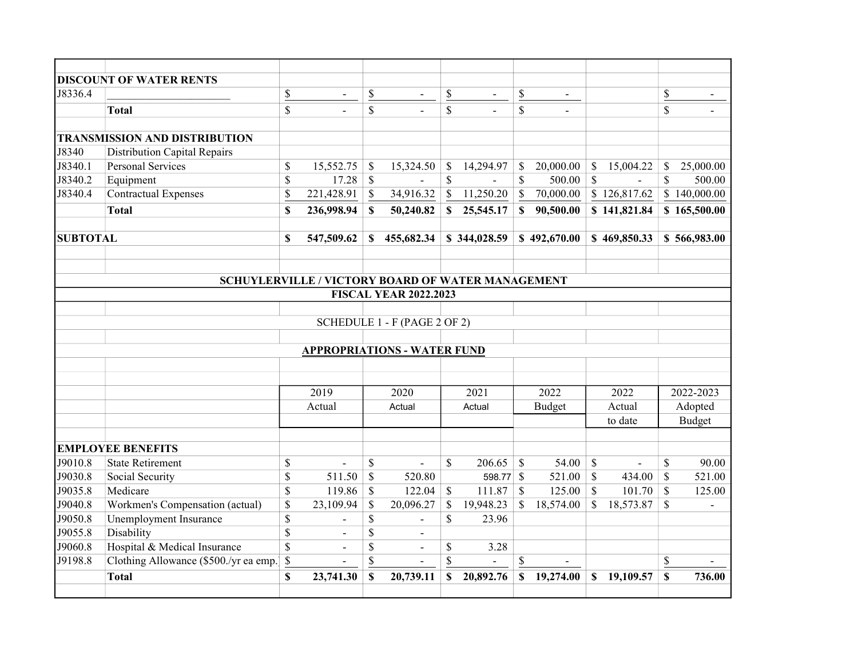|                 | <b>DISCOUNT OF WATER RENTS</b>         |                         |                                                   |                           |                              |                          |                          |                          |                          |              |                |                |               |  |
|-----------------|----------------------------------------|-------------------------|---------------------------------------------------|---------------------------|------------------------------|--------------------------|--------------------------|--------------------------|--------------------------|--------------|----------------|----------------|---------------|--|
| J8336.4         |                                        | \$                      | $\overline{\phantom{a}}$                          | $rac{s}{s}$               | $\overline{\phantom{a}}$     | $\overline{\mathcal{E}}$ | $\overline{\phantom{a}}$ | $\frac{1}{2}$            | $\overline{\phantom{a}}$ |              |                | \$             |               |  |
|                 | <b>Total</b>                           | $\overline{\mathbf{s}}$ |                                                   |                           |                              | $\overline{\mathbb{S}}$  |                          | $\overline{\mathcal{S}}$ |                          |              |                | $\overline{s}$ |               |  |
|                 |                                        |                         |                                                   |                           |                              |                          |                          |                          |                          |              |                |                |               |  |
|                 | <b>TRANSMISSION AND DISTRIBUTION</b>   |                         |                                                   |                           |                              |                          |                          |                          |                          |              |                |                |               |  |
| J8340           | <b>Distribution Capital Repairs</b>    |                         |                                                   |                           |                              |                          |                          |                          |                          |              |                |                |               |  |
| J8340.1         | <b>Personal Services</b>               | \$                      | 15,552.75                                         | $\boldsymbol{\mathsf{S}}$ | 15,324.50                    | \$                       | 14,294.97                | \$                       | 20,000.00                | \$           | 15,004.22      | \$             | 25,000.00     |  |
| J8340.2         | Equipment                              | \$                      | 17.28                                             | $\mathcal{S}$             |                              | $\mathbb{S}$             |                          | $\mathbb{S}$             | 500.00                   | $\mathbb{S}$ |                | \$             | 500.00        |  |
| J8340.4         | <b>Contractual Expenses</b>            | \$                      | 221,428.91                                        | $\mathbb{S}$              | 34,916.32                    | $\mathbb{S}$             | 11,250.20                | \$                       | 70,000.00                |              | \$126,817.62   |                | \$140,000.00  |  |
|                 | <b>Total</b>                           | \$                      | 236,998.94                                        | S                         | 50,240.82                    | \$                       | 25,545.17                | \$                       | 90,500.00                |              | \$141,821.84   |                | \$165,500.00  |  |
| <b>SUBTOTAL</b> |                                        | \$                      | 547,509.62                                        | S.                        | 455,682.34                   |                          | \$344,028.59             |                          | \$492,670.00             |              | \$469,850.33   |                | \$566,983.00  |  |
|                 |                                        |                         |                                                   |                           |                              |                          |                          |                          |                          |              |                |                |               |  |
|                 |                                        |                         |                                                   |                           |                              |                          |                          |                          |                          |              |                |                |               |  |
|                 |                                        |                         | SCHUYLERVILLE / VICTORY BOARD OF WATER MANAGEMENT |                           |                              |                          |                          |                          |                          |              |                |                |               |  |
|                 |                                        |                         |                                                   |                           | <b>FISCAL YEAR 2022.2023</b> |                          |                          |                          |                          |              |                |                |               |  |
|                 |                                        |                         |                                                   |                           |                              |                          |                          |                          |                          |              |                |                |               |  |
|                 |                                        |                         |                                                   |                           | SCHEDULE 1 - F (PAGE 2 OF 2) |                          |                          |                          |                          |              |                |                |               |  |
|                 |                                        |                         |                                                   |                           |                              |                          |                          |                          |                          |              |                |                |               |  |
|                 |                                        |                         | <b>APPROPRIATIONS - WATER FUND</b>                |                           |                              |                          |                          |                          |                          |              |                |                |               |  |
|                 |                                        |                         |                                                   |                           |                              |                          |                          |                          |                          |              |                |                |               |  |
|                 |                                        |                         |                                                   |                           |                              |                          |                          |                          |                          |              |                |                |               |  |
|                 |                                        |                         | 2019                                              |                           | 2020                         |                          | 2021                     |                          | 2022                     |              | 2022           |                | 2022-2023     |  |
|                 |                                        |                         | Actual                                            |                           | Actual                       |                          | Actual                   |                          | <b>Budget</b>            |              | Actual         |                | Adopted       |  |
|                 |                                        |                         |                                                   |                           |                              |                          |                          |                          |                          |              | to date        |                | <b>Budget</b> |  |
|                 | <b>EMPLOYEE BENEFITS</b>               |                         |                                                   |                           |                              |                          |                          |                          |                          |              |                |                |               |  |
| J9010.8         | <b>State Retirement</b>                | \$                      |                                                   | \$                        | $\overline{a}$               | $\mathbb{S}$             | 206.65                   | $\mathbb{S}$             | 54.00                    | $\mathbb{S}$ | $\overline{a}$ | \$             | 90.00         |  |
| J9030.8         | Social Security                        | $\overline{\mathbb{S}}$ | 511.50                                            | $\mathcal{S}$             | 520.80                       |                          | 598.77 \$                |                          | 521.00                   | $\mathbf S$  | 434.00         | $\mathbb{S}$   | 521.00        |  |
| J9035.8         | Medicare                               | \$                      | 119.86                                            | $\mathcal{S}$             | 122.04                       | $\mathbb{S}$             | 111.87                   | $\mathcal{S}$            | 125.00                   | $\mathbb{S}$ | 101.70         | $\mathcal{S}$  | 125.00        |  |
| J9040.8         | Workmen's Compensation (actual)        | \$                      | 23,109.94                                         | $\mathcal{S}$             | 20,096.27                    | \$                       | 19,948.23                | \$                       | 18,574.00                | $\mathbb{S}$ | 18,573.87      | $\mathbb{S}$   |               |  |
| J9050.8         | Unemployment Insurance                 | \$                      |                                                   | \$                        |                              | \$                       | 23.96                    |                          |                          |              |                |                |               |  |
| J9055.8         | Disability                             | \$                      |                                                   | \$                        |                              |                          |                          |                          |                          |              |                |                |               |  |
| J9060.8         | Hospital & Medical Insurance           | $\overline{\$}$         | $\overline{a}$                                    | \$                        | $\overline{a}$               | \$                       | 3.28                     |                          |                          |              |                |                |               |  |
| J9198.8         | Clothing Allowance (\$500./yr ea emp.) | \$                      | $\overline{\phantom{a}}$                          | \$                        | $\overline{\phantom{0}}$     | \$                       | $\overline{\phantom{a}}$ | $\$$                     | $\overline{\phantom{0}}$ |              |                | \$             |               |  |
|                 | <b>Total</b>                           | \$                      | 23,741.30                                         | \$                        | 20,739.11                    | \$                       | 20,892.76                | \$                       | 19,274.00                | $\mathbb{S}$ | 19,109.57      | $\mathbf S$    | 736.00        |  |
|                 |                                        |                         |                                                   |                           |                              |                          |                          |                          |                          |              |                |                |               |  |